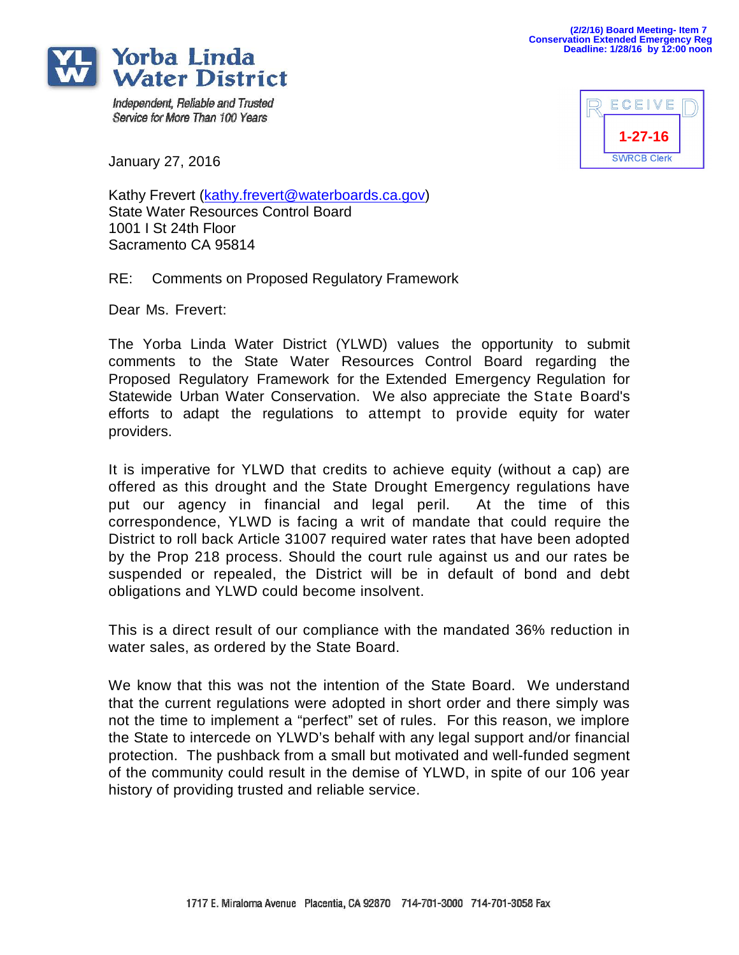

Independent, Reliable and Trusted Service for More Than 100 Years



January 27, 2016

Kathy Frevert [\(kathy.frevert@waterboards.ca.gov\)](mailto:kathy.frevert@waterboards.ca.gov) State Water Resources Control Board 1001 I St 24th Floor Sacramento CA 95814

RE: Comments on Proposed Regulatory Framework

Dear Ms. Frevert:

The Yorba Linda Water District (YLWD) values the opportunity to submit comments to the State Water Resources Control Board regarding the Proposed Regulatory Framework for the Extended Emergency Regulation for Statewide Urban Water Conservation. We also appreciate the State Board's efforts to adapt the regulations to attempt to provide equity for water providers.

It is imperative for YLWD that credits to achieve equity (without a cap) are offered as this drought and the State Drought Emergency regulations have put our agency in financial and legal peril. At the time of this correspondence, YLWD is facing a writ of mandate that could require the District to roll back Article 31007 required water rates that have been adopted by the Prop 218 process. Should the court rule against us and our rates be suspended or repealed, the District will be in default of bond and debt obligations and YLWD could become insolvent.

This is a direct result of our compliance with the mandated 36% reduction in water sales, as ordered by the State Board.

We know that this was not the intention of the State Board. We understand that the current regulations were adopted in short order and there simply was not the time to implement a "perfect" set of rules. For this reason, we implore the State to intercede on YLWD's behalf with any legal support and/or financial protection. The pushback from a small but motivated and well-funded segment of the community could result in the demise of YLWD, in spite of our 106 year history of providing trusted and reliable service.